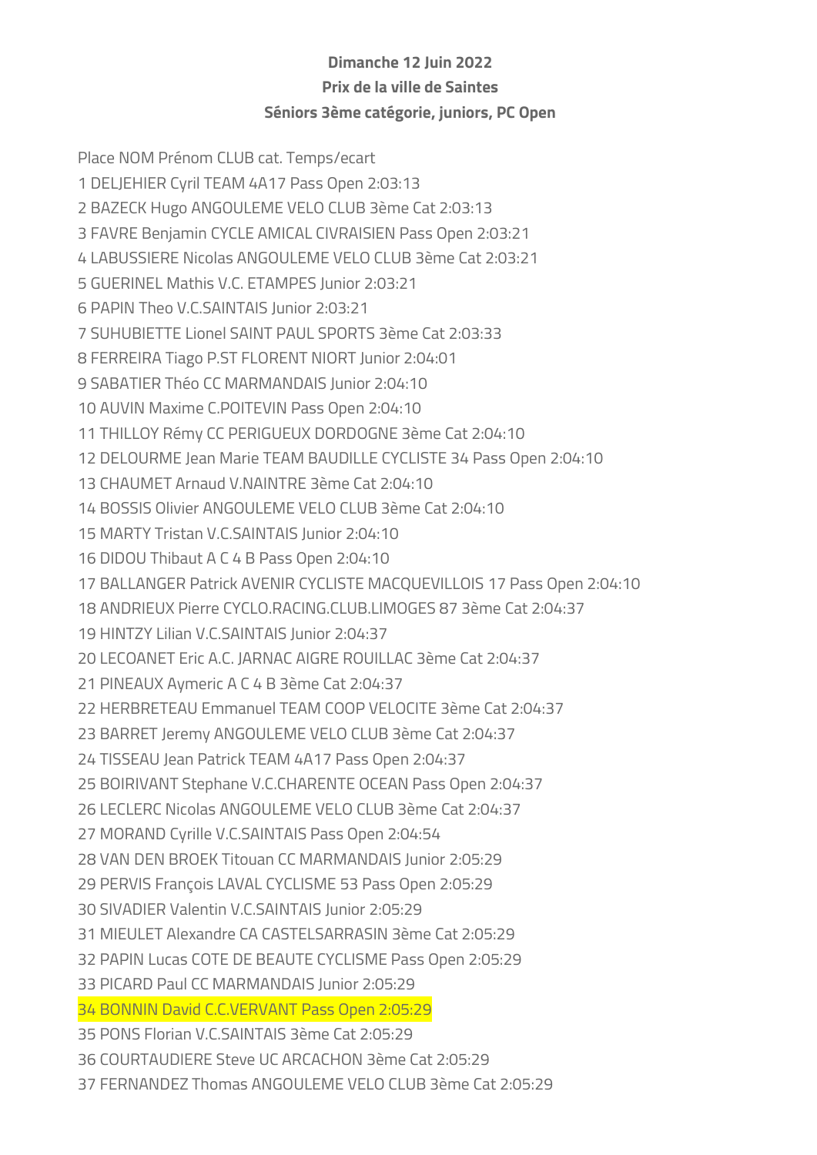## Dimanche 12 Juin 2022 Prix de la ville de Saintes Séniors 3ème catégorie, juniors, PC Open

Place NOM Prénom CLUB cat. Temps/ecart 1 DELJEHIER Cyril TEAM 4A17 Pass Open 2:03:13 2 BAZECK Hugo ANGOULEME VELO CLUB 3ème Cat 2:03:13 3 FAVRE Benjamin CYCLE AMICAL CIVRAISIEN Pass Open 2:03:21 4 LABUSSIERE Nicolas ANGOULEME VELO CLUB 3ème Cat 2:03:21 5 GUERINEL Mathis V.C. ETAMPES Junior 2:03:21 6 PAPIN Theo V.C.SAINTAIS Junior 2:03:21 7 SUHUBIETTE Lionel SAINT PAUL SPORTS 3ème Cat 2:03:33 8 FERREIRA Tiago P.ST FLORENT NIORT Junior 2:04:01 9 SABATIER Théo CC MARMANDAIS Junior 2:04:10 10 AUVIN Maxime C.POITEVIN Pass Open 2:04:10 11 THILLOY Rémy CC PERIGUEUX DORDOGNE 3ème Cat 2:04:10 12 DELOURME Jean Marie TEAM BAUDILLE CYCLISTE 34 Pass Open 2:04:10 13 CHAUMET Arnaud V.NAINTRE 3ème Cat 2:04:10 14 BOSSIS Olivier ANGOULEME VELO CLUB 3ème Cat 2:04:10 15 MARTY Tristan V.C.SAINTAIS Junior 2:04:10 16 DIDOU Thibaut A C 4 B Pass Open 2:04:10 17 BALLANGER Patrick AVENIR CYCLISTE MACQUEVILLOIS 17 Pass Open 2:04:10 18 ANDRIEUX Pierre CYCLO.RACING.CLUB.LIMOGES 87 3ème Cat 2:04:37 19 HINTZY Lilian V.C.SAINTAIS Junior 2:04:37 20 LECOANET Eric A.C. JARNAC AIGRE ROUILLAC 3ème Cat 2:04:37 21 PINEAUX Aymeric A C 4 B 3ème Cat 2:04:37 22 HERBRETEAU Emmanuel TEAM COOP VELOCITE 3ème Cat 2:04:37 23 BARRET Jeremy ANGOULEME VELO CLUB 3ème Cat 2:04:37 24 TISSEAU Jean Patrick TEAM 4A17 Pass Open 2:04:37 25 BOIRIVANT Stephane V.C.CHARENTE OCEAN Pass Open 2:04:37 26 LECLERC Nicolas ANGOULEME VELO CLUB 3ème Cat 2:04:37 27 MORAND Cyrille V.C.SAINTAIS Pass Open 2:04:54 28 VAN DEN BROEK Titouan CC MARMANDAIS Junior 2:05:29 29 PERVIS François LAVAL CYCLISME 53 Pass Open 2:05:29 30 SIVADIER Valentin V.C.SAINTAIS Junior 2:05:29 31 MIEULET Alexandre CA CASTELSARRASIN 3ème Cat 2:05:29 32 PAPIN Lucas COTE DE BEAUTE CYCLISME Pass Open 2:05:29 33 PICARD Paul CC MARMANDAIS Junior 2:05:29 34 BONNIN David C.C.VERVANT Pass Open 2:05:29 35 PONS Florian V.C.SAINTAIS 3ème Cat 2:05:29 36 COURTAUDIERE Steve UC ARCACHON 3ème Cat 2:05:29 37 FERNANDEZ Thomas ANGOULEME VELO CLUB 3ème Cat 2:05:29